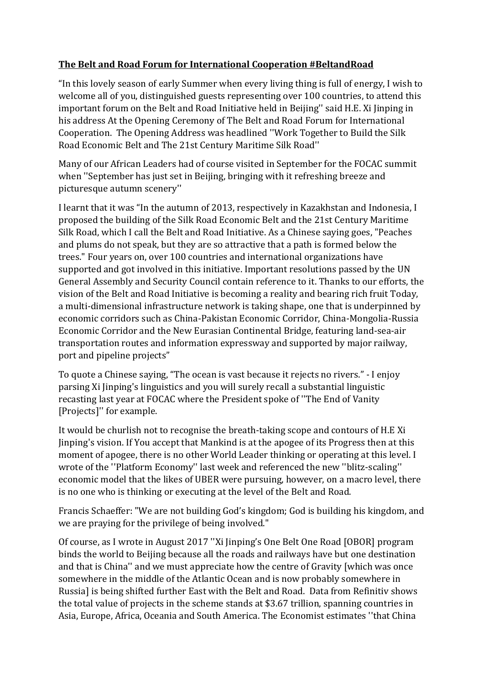## **The Belt and Road Forum for International Cooperation #BeltandRoad**

"In this lovely season of early Summer when every living thing is full of energy, I wish to welcome all of you, distinguished guests representing over 100 countries, to attend this important forum on the Belt and Road Initiative held in Beijing'' said H.E. Xi Jinping in his address At the Opening Ceremony of The Belt and Road Forum for International Cooperation. The Opening Address was headlined ''Work Together to Build the Silk Road Economic Belt and The 21st Century Maritime Silk Road''

Many of our African Leaders had of course visited in September for the FOCAC summit when ''September has just set in Beijing, bringing with it refreshing breeze and picturesque autumn scenery''

I learnt that it was "In the autumn of 2013, respectively in Kazakhstan and Indonesia, I proposed the building of the Silk Road Economic Belt and the 21st Century Maritime Silk Road, which I call the Belt and Road Initiative. As a Chinese saying goes, "Peaches and plums do not speak, but they are so attractive that a path is formed below the trees." Four years on, over 100 countries and international organizations have supported and got involved in this initiative. Important resolutions passed by the UN General Assembly and Security Council contain reference to it. Thanks to our efforts, the vision of the Belt and Road Initiative is becoming a reality and bearing rich fruit Today, a multi-dimensional infrastructure network is taking shape, one that is underpinned by economic corridors such as China-Pakistan Economic Corridor, China-Mongolia-Russia Economic Corridor and the New Eurasian Continental Bridge, featuring land-sea-air transportation routes and information expressway and supported by major railway, port and pipeline projects"

To quote a Chinese saying, "The ocean is vast because it rejects no rivers." - I enjoy parsing Xi Jinping's linguistics and you will surely recall a substantial linguistic recasting last year at FOCAC where the President spoke of ''The End of Vanity [Projects]'' for example.

It would be churlish not to recognise the breath-taking scope and contours of H.E Xi Jinping's vision. If You accept that Mankind is at the apogee of its Progress then at this moment of apogee, there is no other World Leader thinking or operating at this level. I wrote of the ''Platform Economy'' last week and referenced the new ''blitz-scaling'' economic model that the likes of UBER were pursuing, however, on a macro level, there is no one who is thinking or executing at the level of the Belt and Road.

Francis Schaeffer: "We are not building God's kingdom; God is building his kingdom, and we are praying for the privilege of being involved."

Of course, as I wrote in August 2017 ''Xi Jinping's One Belt One Road [OBOR] program binds the world to Beijing because all the roads and railways have but one destination and that is China'' and we must appreciate how the centre of Gravity [which was once somewhere in the middle of the Atlantic Ocean and is now probably somewhere in Russia] is being shifted further East with the Belt and Road. Data from Refinitiv shows the total value of projects in the scheme stands at \$3.67 trillion, spanning countries in Asia, Europe, Africa, Oceania and South America. The Economist estimates ''that China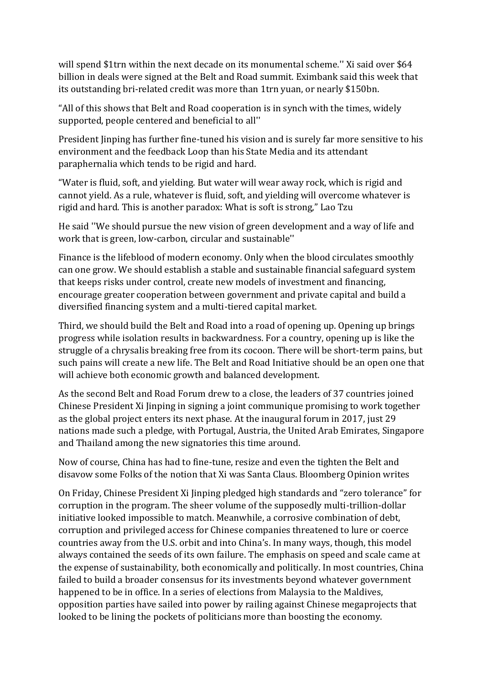will spend \$1trn within the next decade on its monumental scheme.'' Xi said over \$64 billion in deals were signed at the Belt and Road summit. Eximbank said this week that its outstanding bri-related credit was more than 1trn yuan, or nearly \$150bn.

"All of this shows that Belt and Road cooperation is in synch with the times, widely supported, people centered and beneficial to all''

President Jinping has further fine-tuned his vision and is surely far more sensitive to his environment and the feedback Loop than his State Media and its attendant paraphernalia which tends to be rigid and hard.

"Water is fluid, soft, and yielding. But water will wear away rock, which is rigid and cannot yield. As a rule, whatever is fluid, soft, and yielding will overcome whatever is rigid and hard. This is another paradox: What is soft is strong," Lao Tzu

He said ''We should pursue the new vision of green development and a way of life and work that is green, low-carbon, circular and sustainable''

Finance is the lifeblood of modern economy. Only when the blood circulates smoothly can one grow. We should establish a stable and sustainable financial safeguard system that keeps risks under control, create new models of investment and financing, encourage greater cooperation between government and private capital and build a diversified financing system and a multi-tiered capital market.

Third, we should build the Belt and Road into a road of opening up. Opening up brings progress while isolation results in backwardness. For a country, opening up is like the struggle of a chrysalis breaking free from its cocoon. There will be short-term pains, but such pains will create a new life. The Belt and Road Initiative should be an open one that will achieve both economic growth and balanced development.

As the second Belt and Road Forum drew to a close, the leaders of 37 countries joined Chinese President Xi Jinping in signing a joint communique promising to work together as the global project enters its next phase. At the inaugural forum in 2017, just 29 nations made such a pledge, with Portugal, Austria, the United Arab Emirates, Singapore and Thailand among the new signatories this time around.

Now of course, China has had to fine-tune, resize and even the tighten the Belt and disavow some Folks of the notion that Xi was Santa Claus. Bloomberg Opinion writes

On Friday, Chinese President Xi Jinping pledged high standards and "zero tolerance" for corruption in the program. The sheer volume of the supposedly multi-trillion-dollar initiative looked impossible to match. Meanwhile, a corrosive combination of debt, corruption and privileged access for Chinese companies threatened to lure or coerce countries away from the U.S. orbit and into China's. In many ways, though, this model always contained the seeds of its own failure. The emphasis on speed and scale came at the expense of sustainability, both economically and politically. In most countries, China failed to build a broader consensus for its investments beyond whatever government happened to be in office. In a series of elections from Malaysia to the Maldives, opposition parties have sailed into power by railing against Chinese megaprojects that looked to be lining the pockets of politicians more than boosting the economy.